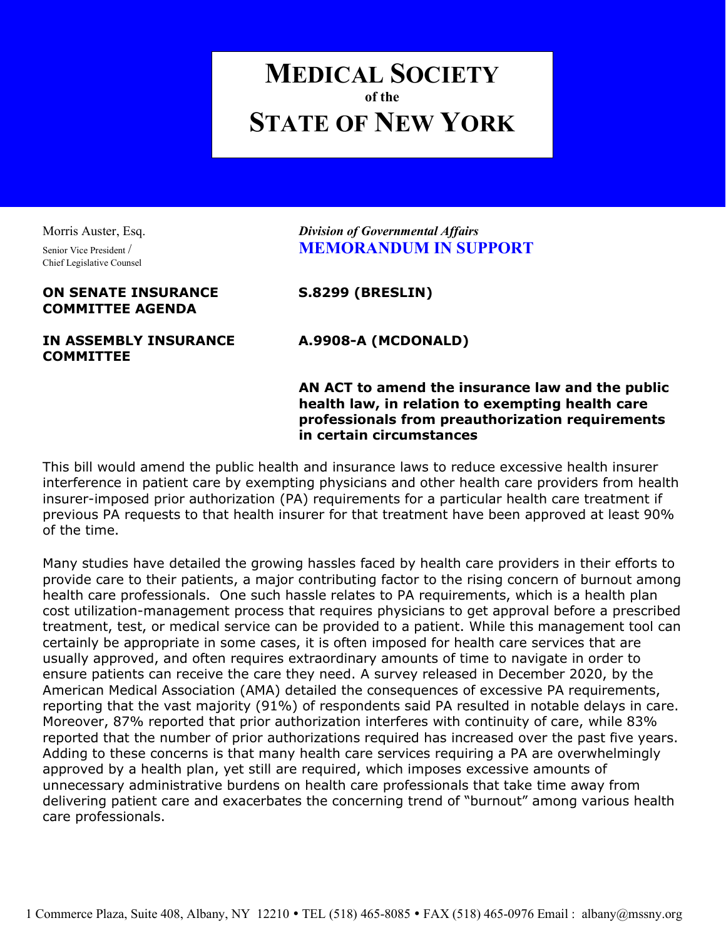## MEDICAL SOCIETY of the STATE OF NEW YORK

Chief Legislative Counsel

## ON SENATE INSURANCE S.8299 (BRESLIN) COMMITTEE AGENDA

## IN ASSEMBLY INSURANCE A.9908-A (MCDONALD) **COMMITTEE**

Morris Auster, Esq. **Example 20 Division of Governmental Affairs** Senior Vice President / **MEMORANDUM IN SUPPORT** 

AN ACT to amend the insurance law and the public health law, in relation to exempting health care professionals from preauthorization requirements in certain circumstances

This bill would amend the public health and insurance laws to reduce excessive health insurer interference in patient care by exempting physicians and other health care providers from health insurer-imposed prior authorization (PA) requirements for a particular health care treatment if previous PA requests to that health insurer for that treatment have been approved at least 90% of the time.

Many studies have detailed the growing hassles faced by health care providers in their efforts to provide care to their patients, a major contributing factor to the rising concern of burnout among health care professionals. One such hassle relates to PA requirements, which is a health plan cost utilization-management process that requires physicians to get approval before a prescribed treatment, test, or medical service can be provided to a patient. While this management tool can certainly be appropriate in some cases, it is often imposed for health care services that are usually approved, and often requires extraordinary amounts of time to navigate in order to ensure patients can receive the care they need. A survey released in December 2020, by the American Medical Association (AMA) detailed the consequences of excessive PA requirements, reporting that the vast majority (91%) of respondents said PA resulted in notable delays in care. Moreover, 87% reported that prior authorization interferes with continuity of care, while 83% reported that the number of prior authorizations required has increased over the past five years. Adding to these concerns is that many health care services requiring a PA are overwhelmingly approved by a health plan, yet still are required, which imposes excessive amounts of unnecessary administrative burdens on health care professionals that take time away from delivering patient care and exacerbates the concerning trend of "burnout" among various health care professionals.